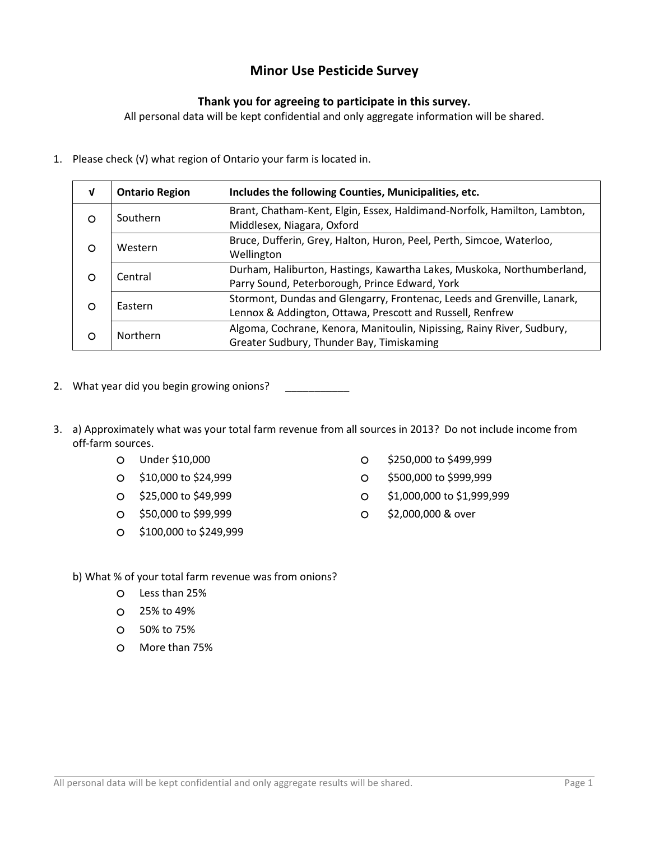## Minor Use Pesticide Survey

## Thank you for agreeing to participate in this survey.

All personal data will be kept confidential and only aggregate information will be shared.

1. Please check (√) what region of Ontario your farm is located in.

| $\mathbf v$                | <b>Ontario Region</b>                                                                                                                           | Includes the following Counties, Municipalities, etc.                                                               |  |
|----------------------------|-------------------------------------------------------------------------------------------------------------------------------------------------|---------------------------------------------------------------------------------------------------------------------|--|
| O                          | Brant, Chatham-Kent, Elgin, Essex, Haldimand-Norfolk, Hamilton, Lambton,<br>Southern<br>Middlesex, Niagara, Oxford                              |                                                                                                                     |  |
| Western<br>O<br>Wellington |                                                                                                                                                 | Bruce, Dufferin, Grey, Halton, Huron, Peel, Perth, Simcoe, Waterloo,                                                |  |
| O                          | Durham, Haliburton, Hastings, Kawartha Lakes, Muskoka, Northumberland,<br>Central<br>Parry Sound, Peterborough, Prince Edward, York             |                                                                                                                     |  |
| O                          | Stormont, Dundas and Glengarry, Frontenac, Leeds and Grenville, Lanark,<br>Eastern<br>Lennox & Addington, Ottawa, Prescott and Russell, Renfrew |                                                                                                                     |  |
| Northern<br>O              |                                                                                                                                                 | Algoma, Cochrane, Kenora, Manitoulin, Nipissing, Rainy River, Sudbury,<br>Greater Sudbury, Thunder Bay, Timiskaming |  |

- 2. What year did you begin growing onions?
- 3. a) Approximately what was your total farm revenue from all sources in 2013? Do not include income from off-farm sources.
	-
	-
	-
	- \$50,000 to \$99,999 \$2,000,000 & over
	- \$100,000 to \$249,999
	- O Under \$10,000 **big and the S10,000** state of the S250,000 to \$499,999
	- O \$10,000 to \$24,999 \$500,000 to \$999,999
	- \$25,000 to \$49,999 \$1,000,000 to \$1,999,999
		-
	- b) What % of your total farm revenue was from onions?
		- Less than 25%
		- 25% to 49%
		- 50% to 75%
		- More than 75%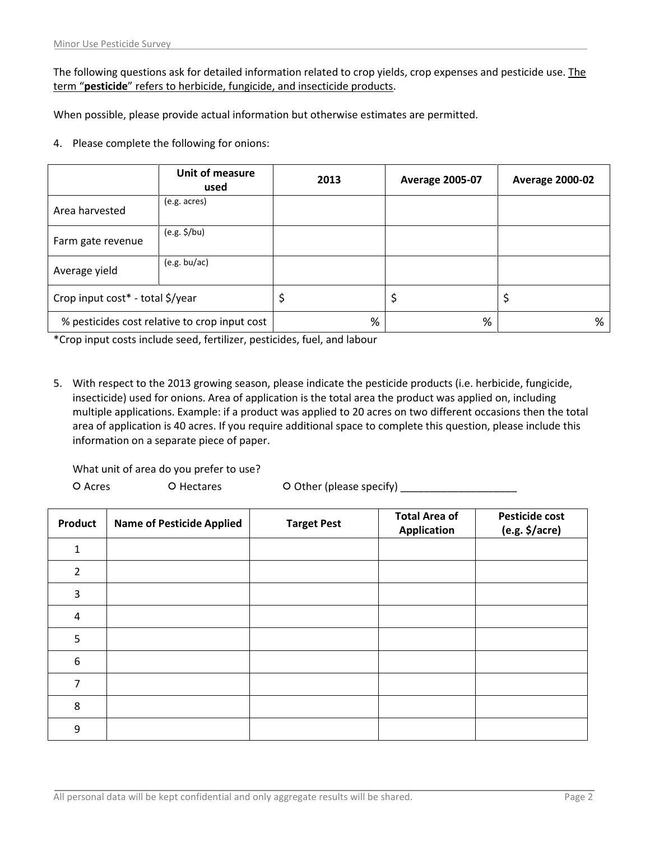The following questions ask for detailed information related to crop yields, crop expenses and pesticide use. The term "pesticide" refers to herbicide, fungicide, and insecticide products.

When possible, please provide actual information but otherwise estimates are permitted.

4. Please complete the following for onions:

|                                               | Unit of measure<br>used | 2013 | <b>Average 2005-07</b> | <b>Average 2000-02</b> |
|-----------------------------------------------|-------------------------|------|------------------------|------------------------|
| Area harvested                                | (e.g. acres)            |      |                        |                        |
| Farm gate revenue                             | $(e.g. \frac{1}{2}/bu)$ |      |                        |                        |
| Average yield                                 | (e.g. bu/ac)            |      |                        |                        |
| Crop input cost* - total \$/year              |                         |      | \$                     | ₽                      |
| % pesticides cost relative to crop input cost |                         | %    | %                      | %                      |

\*Crop input costs include seed, fertilizer, pesticides, fuel, and labour

5. With respect to the 2013 growing season, please indicate the pesticide products (i.e. herbicide, fungicide, insecticide) used for onions. Area of application is the total area the product was applied on, including multiple applications. Example: if a product was applied to 20 acres on two different occasions then the total area of application is 40 acres. If you require additional space to complete this question, please include this information on a separate piece of paper.

What unit of area do you prefer to use?

O Acres O Hectares O Other (please specify) \_\_\_\_\_\_\_\_\_\_\_\_\_\_\_\_\_\_\_\_\_\_\_\_\_

| Product          | <b>Name of Pesticide Applied</b> | <b>Target Pest</b> | <b>Total Area of</b><br><b>Application</b> | <b>Pesticide cost</b><br>$(e.g. \frac{1}{2}/acre)$ |
|------------------|----------------------------------|--------------------|--------------------------------------------|----------------------------------------------------|
| $\mathbf{1}$     |                                  |                    |                                            |                                                    |
| $\overline{2}$   |                                  |                    |                                            |                                                    |
| $\mathbf{3}$     |                                  |                    |                                            |                                                    |
| $\overline{4}$   |                                  |                    |                                            |                                                    |
| 5                |                                  |                    |                                            |                                                    |
| $\boldsymbol{6}$ |                                  |                    |                                            |                                                    |
| 7                |                                  |                    |                                            |                                                    |
| 8                |                                  |                    |                                            |                                                    |
| 9                |                                  |                    |                                            |                                                    |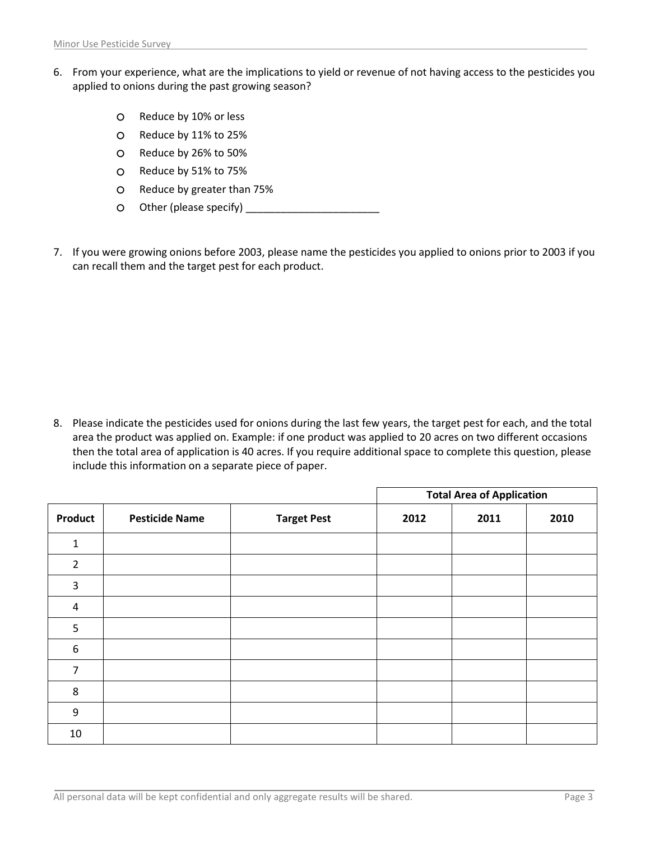- 6. From your experience, what are the implications to yield or revenue of not having access to the pesticides you applied to onions during the past growing season?
	- O Reduce by 10% or less
	- Reduce by 11% to 25%
	- Reduce by 26% to 50%
	- Reduce by 51% to 75%
	- Reduce by greater than 75%
	- Other (please specify) \_\_\_\_\_\_\_\_\_\_\_\_\_\_\_\_\_\_\_\_\_\_\_
- 7. If you were growing onions before 2003, please name the pesticides you applied to onions prior to 2003 if you can recall them and the target pest for each product.

8. Please indicate the pesticides used for onions during the last few years, the target pest for each, and the total area the product was applied on. Example: if one product was applied to 20 acres on two different occasions then the total area of application is 40 acres. If you require additional space to complete this question, please include this information on a separate piece of paper.

|                  |                       |                    | <b>Total Area of Application</b> |      |      |
|------------------|-----------------------|--------------------|----------------------------------|------|------|
| <b>Product</b>   | <b>Pesticide Name</b> | <b>Target Pest</b> | 2012                             | 2011 | 2010 |
| $\mathbf{1}$     |                       |                    |                                  |      |      |
| $\overline{2}$   |                       |                    |                                  |      |      |
| 3                |                       |                    |                                  |      |      |
| $\overline{a}$   |                       |                    |                                  |      |      |
| 5                |                       |                    |                                  |      |      |
| $\boldsymbol{6}$ |                       |                    |                                  |      |      |
| 7                |                       |                    |                                  |      |      |
| 8                |                       |                    |                                  |      |      |
| $9\,$            |                       |                    |                                  |      |      |
| 10               |                       |                    |                                  |      |      |